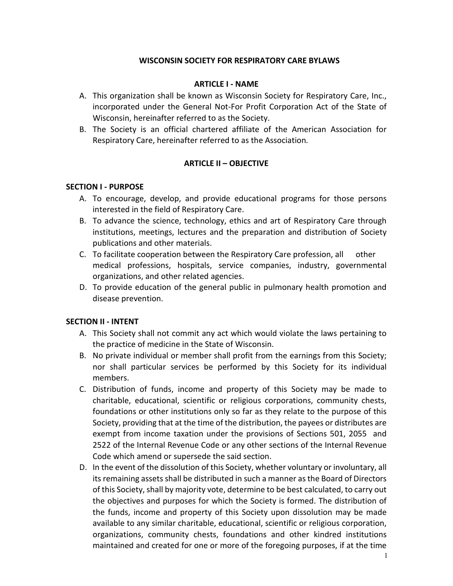### **WISCONSIN SOCIETY FOR RESPIRATORY CARE BYLAWS**

#### **ARTICLE I - NAME**

- A. This organization shall be known as Wisconsin Society for Respiratory Care, Inc., incorporated under the General Not-For Profit Corporation Act of the State of Wisconsin, hereinafter referred to as the Society.
- B. The Society is an official chartered affiliate of the American Association for Respiratory Care, hereinafter referred to as the Association*.*

### **ARTICLE II – OBJECTIVE**

#### **SECTION I - PURPOSE**

- A. To encourage, develop, and provide educational programs for those persons interested in the field of Respiratory Care.
- B. To advance the science, technology, ethics and art of Respiratory Care through institutions, meetings, lectures and the preparation and distribution of Society publications and other materials.
- C. To facilitate cooperation between the Respiratory Care profession, all other medical professions, hospitals, service companies, industry, governmental organizations, and other related agencies.
- D. To provide education of the general public in pulmonary health promotion and disease prevention.

### **SECTION II - INTENT**

- A. This Society shall not commit any act which would violate the laws pertaining to the practice of medicine in the State of Wisconsin.
- B. No private individual or member shall profit from the earnings from this Society; nor shall particular services be performed by this Society for its individual members.
- C. Distribution of funds, income and property of this Society may be made to charitable, educational, scientific or religious corporations, community chests, foundations or other institutions only so far as they relate to the purpose of this Society, providing that at the time of the distribution, the payees or distributes are exempt from income taxation under the provisions of Sections 501, 2055 and 2522 of the Internal Revenue Code or any other sections of the Internal Revenue Code which amend or supersede the said section.
- D. In the event of the dissolution of this Society, whether voluntary or involuntary, all its remaining assets shall be distributed in such a manner as the Board of Directors of this Society, shall by majority vote, determine to be best calculated, to carry out the objectives and purposes for which the Society is formed. The distribution of the funds, income and property of this Society upon dissolution may be made available to any similar charitable, educational, scientific or religious corporation, organizations, community chests, foundations and other kindred institutions maintained and created for one or more of the foregoing purposes, if at the time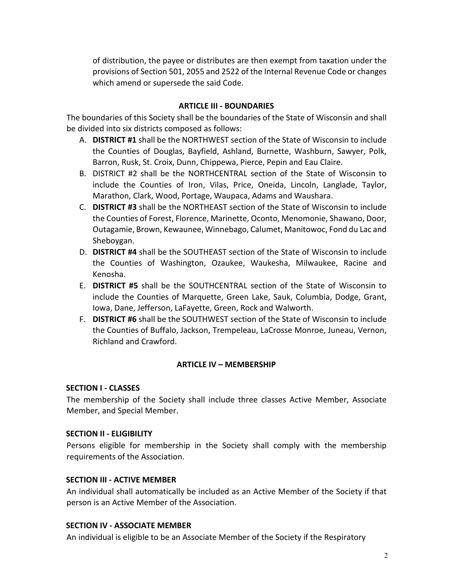of distribution, the payee or distributes are then exempt from taxation under the provisions of Section 501, 2055 and 2522 of the Internal Revenue Code or changes which amend or supersede the said Code.

### **ARTICLE III - BOUNDARIES**

The boundaries of this Society shall be the boundaries of the State of Wisconsin and shall be divided into six districts composed as follows:

- A. **DISTRICT #1** shall be the NORTHWEST section of the State of Wisconsin to include the Counties of Douglas, Bayfield, Ashland, Burnette, Washburn, Sawyer, Polk, Barron, Rusk, St. Croix, Dunn, Chippewa, Pierce, Pepin and Eau Claire.
- B. DISTRICT #2 shall be the NORTHCENTRAL section of the State of Wisconsin to include the Counties of Iron, Vilas, Price, Oneida, Lincoln, Langlade, Taylor, Marathon, Clark, Wood, Portage, Waupaca, Adams and Waushara.
- C. **DISTRICT #3** shall be the NORTHEAST section of the State of Wisconsin to include the Counties of Forest, Florence, Marinette, Oconto, Menomonie, Shawano, Door, Outagamie, Brown, Kewaunee, Winnebago, Calumet, Manitowoc, Fond du Lac and Sheboygan.
- D. **DISTRICT #4** shall be the SOUTHEAST section of the State of Wisconsin to include the Counties of Washington, Ozaukee, Waukesha, Milwaukee, Racine and Kenosha.
- E. **DISTRICT #5** shall be the SOUTHCENTRAL section of the State of Wisconsin to include the Counties of Marquette, Green Lake, Sauk, Columbia, Dodge, Grant, Iowa, Dane, Jefferson, LaFayette, Green, Rock and Walworth.
- F. **DISTRICT #6** shall be the SOUTHWEST section of the State of Wisconsin to include the Counties of Buffalo, Jackson, Trempeleau, LaCrosse Monroe, Juneau, Vernon, Richland and Crawford.

# **ARTICLE IV – MEMBERSHIP**

### **SECTION I - CLASSES**

The membership of the Society shall include three classes Active Member, Associate Member, and Special Member.

### **SECTION II - ELIGIBILITY**

Persons eligible for membership in the Society shall comply with the membership requirements of the Association.

### **SECTION III - ACTIVE MEMBER**

An individual shall automatically be included as an Active Member of the Society if that person is an Active Member of the Association.

### **SECTION IV - ASSOCIATE MEMBER**

An individual is eligible to be an Associate Member of the Society if the Respiratory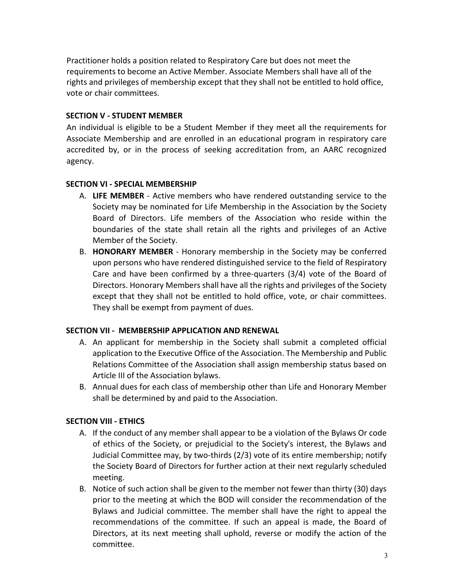Practitioner holds a position related to Respiratory Care but does not meet the requirements to become an Active Member. Associate Members shall have all of the rights and privileges of membership except that they shall not be entitled to hold office, vote or chair committees.

### **SECTION V - STUDENT MEMBER**

An individual is eligible to be a Student Member if they meet all the requirements for Associate Membership and are enrolled in an educational program in respiratory care accredited by, or in the process of seeking accreditation from, an AARC recognized agency.

### **SECTION VI - SPECIAL MEMBERSHIP**

- A. **LIFE MEMBER**  Active members who have rendered outstanding service to the Society may be nominated for Life Membership in the Association by the Society Board of Directors. Life members of the Association who reside within the boundaries of the state shall retain all the rights and privileges of an Active Member of the Society.
- B. **HONORARY MEMBER**  Honorary membership in the Society may be conferred upon persons who have rendered distinguished service to the field of Respiratory Care and have been confirmed by a three-quarters (3/4) vote of the Board of Directors. Honorary Members shall have all the rights and privileges of the Society except that they shall not be entitled to hold office, vote, or chair committees. They shall be exempt from payment of dues.

# **SECTION VII - MEMBERSHIP APPLICATION AND RENEWAL**

- A. An applicant for membership in the Society shall submit a completed official application to the Executive Office of the Association. The Membership and Public Relations Committee of the Association shall assign membership status based on Article III of the Association bylaws.
- B. Annual dues for each class of membership other than Life and Honorary Member shall be determined by and paid to the Association.

# **SECTION VIII - ETHICS**

- A. If the conduct of any member shall appear to be a violation of the Bylaws Or code of ethics of the Society, or prejudicial to the Society's interest, the Bylaws and Judicial Committee may, by two-thirds (2/3) vote of its entire membership; notify the Society Board of Directors for further action at their next regularly scheduled meeting.
- B. Notice of such action shall be given to the member not fewer than thirty (30) days prior to the meeting at which the BOD will consider the recommendation of the Bylaws and Judicial committee. The member shall have the right to appeal the recommendations of the committee. If such an appeal is made, the Board of Directors, at its next meeting shall uphold, reverse or modify the action of the committee.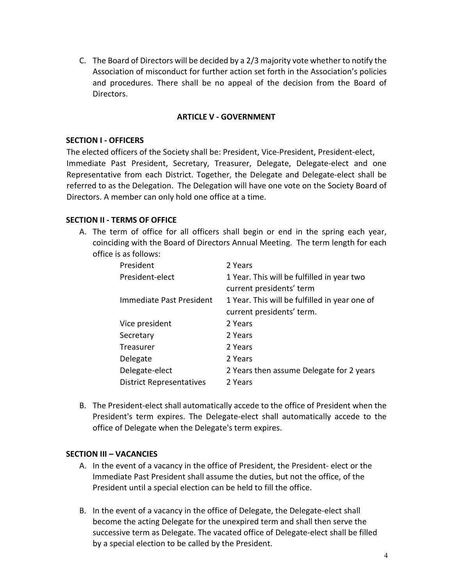C. The Board of Directors will be decided by a 2/3 majority vote whether to notify the Association of misconduct for further action set forth in the Association's policies and procedures. There shall be no appeal of the decision from the Board of Directors.

#### **ARTICLE V - GOVERNMENT**

#### **SECTION I - OFFICERS**

The elected officers of the Society shall be: President, Vice-President, President-elect, Immediate Past President, Secretary, Treasurer, Delegate, Delegate-elect and one Representative from each District. Together, the Delegate and Delegate-elect shall be referred to as the Delegation. The Delegation will have one vote on the Society Board of Directors. A member can only hold one office at a time.

### **SECTION II - TERMS OF OFFICE**

A. The term of office for all officers shall begin or end in the spring each year, coinciding with the Board of Directors Annual Meeting. The term length for each office is as follows:

| President                       | 2 Years                                       |
|---------------------------------|-----------------------------------------------|
| President-elect                 | 1 Year. This will be fulfilled in year two    |
|                                 | current presidents' term                      |
| Immediate Past President        | 1 Year. This will be fulfilled in year one of |
|                                 | current presidents' term.                     |
| Vice president                  | 2 Years                                       |
| Secretary                       | 2 Years                                       |
| Treasurer                       | 2 Years                                       |
| Delegate                        | 2 Years                                       |
| Delegate-elect                  | 2 Years then assume Delegate for 2 years      |
| <b>District Representatives</b> | 2 Years                                       |

B. The President-elect shall automatically accede to the office of President when the President's term expires. The Delegate-elect shall automatically accede to the office of Delegate when the Delegate's term expires.

### **SECTION III – VACANCIES**

- A. In the event of a vacancy in the office of President, the President- elect or the Immediate Past President shall assume the duties, but not the office, of the President until a special election can be held to fill the office.
- B. In the event of a vacancy in the office of Delegate, the Delegate-elect shall become the acting Delegate for the unexpired term and shall then serve the successive term as Delegate. The vacated office of Delegate-elect shall be filled by a special election to be called by the President.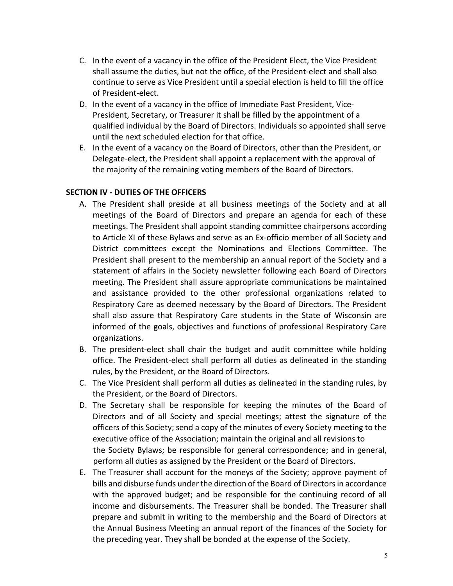- C. In the event of a vacancy in the office of the President Elect, the Vice President shall assume the duties, but not the office, of the President-elect and shall also continue to serve as Vice President until a special election is held to fill the office of President-elect.
- D. In the event of a vacancy in the office of Immediate Past President, Vice-President, Secretary, or Treasurer it shall be filled by the appointment of a qualified individual by the Board of Directors. Individuals so appointed shall serve until the next scheduled election for that office.
- E. In the event of a vacancy on the Board of Directors, other than the President, or Delegate-elect, the President shall appoint a replacement with the approval of the majority of the remaining voting members of the Board of Directors.

### **SECTION IV - DUTIES OF THE OFFICERS**

- A. The President shall preside at all business meetings of the Society and at all meetings of the Board of Directors and prepare an agenda for each of these meetings. The President shall appoint standing committee chairpersons according to Article XI of these Bylaws and serve as an Ex-officio member of all Society and District committees except the Nominations and Elections Committee. The President shall present to the membership an annual report of the Society and a statement of affairs in the Society newsletter following each Board of Directors meeting. The President shall assure appropriate communications be maintained and assistance provided to the other professional organizations related to Respiratory Care as deemed necessary by the Board of Directors. The President shall also assure that Respiratory Care students in the State of Wisconsin are informed of the goals, objectives and functions of professional Respiratory Care organizations.
- B. The president-elect shall chair the budget and audit committee while holding office. The President-elect shall perform all duties as delineated in the standing rules, by the President, or the Board of Directors.
- C. The Vice President shall perform all duties as delineated in the standing rules, by the President, or the Board of Directors.
- D. The Secretary shall be responsible for keeping the minutes of the Board of Directors and of all Society and special meetings; attest the signature of the officers of this Society; send a copy of the minutes of every Society meeting to the executive office of the Association; maintain the original and all revisions to the Society Bylaws; be responsible for general correspondence; and in general, perform all duties as assigned by the President or the Board of Directors.
- E. The Treasurer shall account for the moneys of the Society; approve payment of bills and disburse funds under the direction of the Board of Directors in accordance with the approved budget; and be responsible for the continuing record of all income and disbursements. The Treasurer shall be bonded. The Treasurer shall prepare and submit in writing to the membership and the Board of Directors at the Annual Business Meeting an annual report of the finances of the Society for the preceding year. They shall be bonded at the expense of the Society.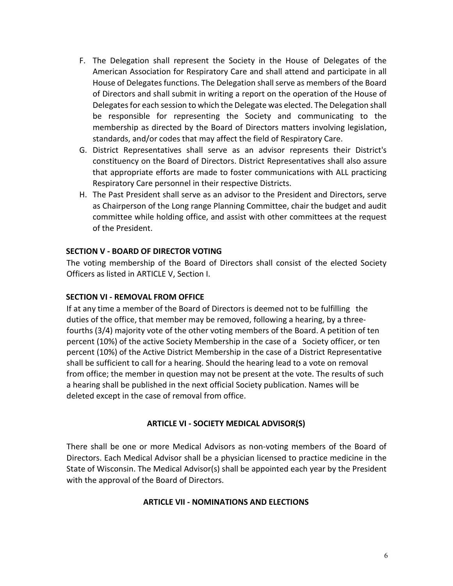- F. The Delegation shall represent the Society in the House of Delegates of the American Association for Respiratory Care and shall attend and participate in all House of Delegates functions. The Delegation shall serve as members of the Board of Directors and shall submit in writing a report on the operation of the House of Delegates for each session to which the Delegate was elected. The Delegation shall be responsible for representing the Society and communicating to the membership as directed by the Board of Directors matters involving legislation, standards, and/or codes that may affect the field of Respiratory Care.
- G. District Representatives shall serve as an advisor represents their District's constituency on the Board of Directors. District Representatives shall also assure that appropriate efforts are made to foster communications with ALL practicing Respiratory Care personnel in their respective Districts.
- H. The Past President shall serve as an advisor to the President and Directors, serve as Chairperson of the Long range Planning Committee, chair the budget and audit committee while holding office, and assist with other committees at the request of the President.

### **SECTION V - BOARD OF DIRECTOR VOTING**

The voting membership of the Board of Directors shall consist of the elected Society Officers as listed in ARTICLE V, Section I.

### **SECTION VI - REMOVAL FROM OFFICE**

If at any time a member of the Board of Directors is deemed not to be fulfilling the duties of the office, that member may be removed, following a hearing, by a threefourths (3/4) majority vote of the other voting members of the Board. A petition of ten percent (10%) of the active Society Membership in the case of a Society officer, or ten percent (10%) of the Active District Membership in the case of a District Representative shall be sufficient to call for a hearing. Should the hearing lead to a vote on removal from office; the member in question may not be present at the vote. The results of such a hearing shall be published in the next official Society publication. Names will be deleted except in the case of removal from office.

### **ARTICLE VI - SOCIETY MEDICAL ADVISOR(S)**

There shall be one or more Medical Advisors as non-voting members of the Board of Directors. Each Medical Advisor shall be a physician licensed to practice medicine in the State of Wisconsin. The Medical Advisor(s) shall be appointed each year by the President with the approval of the Board of Directors.

### **ARTICLE VII - NOMINATIONS AND ELECTIONS**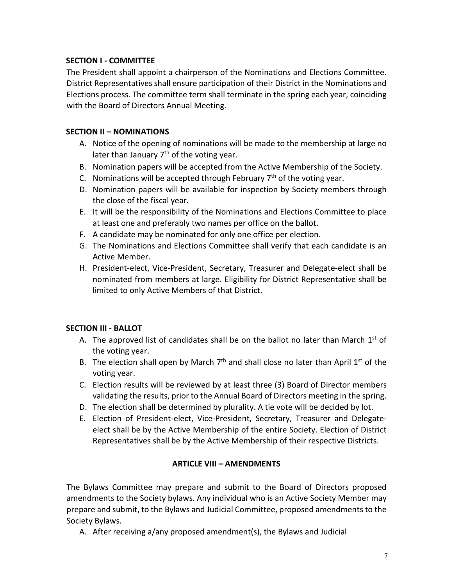# **SECTION I - COMMITTEE**

The President shall appoint a chairperson of the Nominations and Elections Committee. District Representatives shall ensure participation of their District in the Nominations and Elections process. The committee term shall terminate in the spring each year, coinciding with the Board of Directors Annual Meeting.

# **SECTION II – NOMINATIONS**

- A. Notice of the opening of nominations will be made to the membership at large no later than January  $7<sup>th</sup>$  of the voting year.
- B. Nomination papers will be accepted from the Active Membership of the Society.
- C. Nominations will be accepted through February  $7<sup>th</sup>$  of the voting year.
- D. Nomination papers will be available for inspection by Society members through the close of the fiscal year.
- E. It will be the responsibility of the Nominations and Elections Committee to place at least one and preferably two names per office on the ballot.
- F. A candidate may be nominated for only one office per election.
- G. The Nominations and Elections Committee shall verify that each candidate is an Active Member.
- H. President-elect, Vice-President, Secretary, Treasurer and Delegate-elect shall be nominated from members at large. Eligibility for District Representative shall be limited to only Active Members of that District.

# **SECTION III - BALLOT**

- A. The approved list of candidates shall be on the ballot no later than March  $1^{st}$  of the voting year.
- B. The election shall open by March  $7<sup>th</sup>$  and shall close no later than April 1<sup>st</sup> of the voting year.
- C. Election results will be reviewed by at least three (3) Board of Director members validating the results, prior to the Annual Board of Directors meeting in the spring.
- D. The election shall be determined by plurality. A tie vote will be decided by lot.
- E. Election of President-elect, Vice-President, Secretary, Treasurer and Delegateelect shall be by the Active Membership of the entire Society. Election of District Representatives shall be by the Active Membership of their respective Districts.

# **ARTICLE VIII – AMENDMENTS**

The Bylaws Committee may prepare and submit to the Board of Directors proposed amendments to the Society bylaws. Any individual who is an Active Society Member may prepare and submit, to the Bylaws and Judicial Committee, proposed amendments to the Society Bylaws.

A. After receiving a/any proposed amendment(s), the Bylaws and Judicial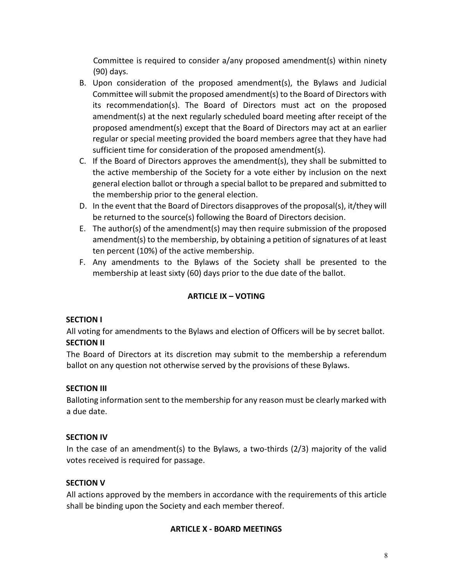Committee is required to consider a/any proposed amendment(s) within ninety (90) days.

- B. Upon consideration of the proposed amendment(s), the Bylaws and Judicial Committee will submit the proposed amendment(s) to the Board of Directors with its recommendation(s). The Board of Directors must act on the proposed amendment(s) at the next regularly scheduled board meeting after receipt of the proposed amendment(s) except that the Board of Directors may act at an earlier regular or special meeting provided the board members agree that they have had sufficient time for consideration of the proposed amendment(s).
- C. If the Board of Directors approves the amendment(s), they shall be submitted to the active membership of the Society for a vote either by inclusion on the next general election ballot or through a special ballot to be prepared and submitted to the membership prior to the general election.
- D. In the event that the Board of Directors disapproves of the proposal(s), it/they will be returned to the source(s) following the Board of Directors decision.
- E. The author(s) of the amendment(s) may then require submission of the proposed amendment(s) to the membership, by obtaining a petition of signatures of at least ten percent (10%) of the active membership.
- F. Any amendments to the Bylaws of the Society shall be presented to the membership at least sixty (60) days prior to the due date of the ballot.

# **ARTICLE IX – VOTING**

# **SECTION I**

All voting for amendments to the Bylaws and election of Officers will be by secret ballot. **SECTION II** 

The Board of Directors at its discretion may submit to the membership a referendum ballot on any question not otherwise served by the provisions of these Bylaws.

# **SECTION III**

Balloting information sent to the membership for any reason must be clearly marked with a due date.

# **SECTION IV**

In the case of an amendment(s) to the Bylaws, a two-thirds (2/3) majority of the valid votes received is required for passage.

### **SECTION V**

All actions approved by the members in accordance with the requirements of this article shall be binding upon the Society and each member thereof.

### **ARTICLE X - BOARD MEETINGS**